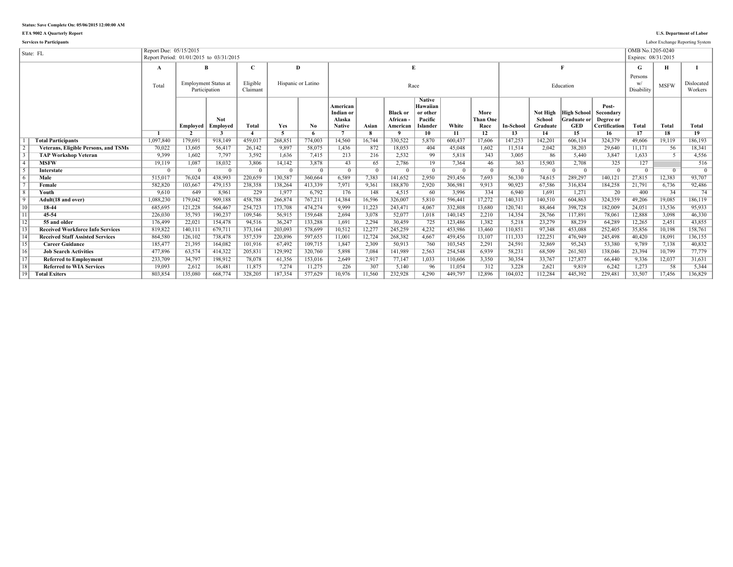**ETA 9002 A Quarterly Report U.S. Department of Labor**

|                 | <b>Services to Participants</b>             |                                                                   |          |                                              |                      |            |                    |                                                  |                |                                          |                                                              |         |                                 |                  |                                |                                                        |                                                         |                                         |                | Labor Exchange Reporting System |
|-----------------|---------------------------------------------|-------------------------------------------------------------------|----------|----------------------------------------------|----------------------|------------|--------------------|--------------------------------------------------|----------------|------------------------------------------|--------------------------------------------------------------|---------|---------------------------------|------------------|--------------------------------|--------------------------------------------------------|---------------------------------------------------------|-----------------------------------------|----------------|---------------------------------|
|                 | State: FL                                   | Report Due: 05/15/2015<br>Report Period: 01/01/2015 to 03/31/2015 |          |                                              |                      |            |                    |                                                  |                |                                          |                                                              |         |                                 |                  |                                |                                                        |                                                         | OMB No.1205-0240<br>Expires: 08/31/2015 |                |                                 |
|                 |                                             | $\mathbf A$                                                       |          | B                                            | C                    |            | Ð                  |                                                  |                | $\mathbf{E}$                             |                                                              |         |                                 |                  |                                |                                                        |                                                         | G                                       | н              |                                 |
|                 |                                             | Total                                                             |          | <b>Employment Status at</b><br>Participation | Eligible<br>Claimant |            | Hispanic or Latino |                                                  |                |                                          | Race                                                         |         |                                 |                  |                                | Education                                              |                                                         | Persons<br>Disability                   | <b>MSFW</b>    | Dislocated<br>Workers           |
|                 |                                             |                                                                   | Employed | <b>Not</b><br>Employed                       | <b>Total</b>         | Yes        | No                 | American<br>Indian or<br>Alaska<br><b>Native</b> | Asian          | <b>Black or</b><br>African -<br>American | <b>Native</b><br>Hawaiian<br>or other<br>Pacific<br>Islander | White   | More<br><b>Than One</b><br>Race | <b>In-School</b> | Not High<br>School<br>Graduate | <b>High School</b><br><b>Graduate or</b><br><b>GED</b> | Post-<br>Secondary<br>Degree or<br><b>Certification</b> | Total                                   | Total          | <b>Total</b>                    |
|                 |                                             |                                                                   |          |                                              |                      | 5          |                    |                                                  |                |                                          | 10                                                           | 11      | 12                              | 13               | 14                             | 15                                                     | 16                                                      | 17                                      | 18             | 19                              |
|                 | <b>Total Participants</b>                   | 1,097,840                                                         | 179.691  | 918.149                                      | 459.017              | 268.851    | 774.003            | 14.560                                           | 16.744         | 330.522                                  | 5,870                                                        | 600.437 | 17.606                          | 147.253          | 142,201                        | 606.134                                                | 324.379                                                 | 49.606                                  | 19.119         | 186.193                         |
| $\sqrt{2}$      | <b>Veterans, Eligible Persons, and TSMs</b> | 70,022                                                            | 13,605   | 56,417                                       | 26,142               | 9,897      | 58,075             | 1,436                                            | 872            | 18,053                                   | 404                                                          | 45,048  | 1,602                           | 11,514           | 2,042                          | 38,203                                                 | 29,640                                                  | 11,171                                  | 56             | 18,341                          |
| $\overline{3}$  | <b>TAP Workshop Veteran</b>                 | 9.399                                                             | 1.602    | 7.797                                        | 3,592                | 1,636      | 7,415              | 213                                              | 216            | 2,532                                    | 99                                                           | 5,818   | 343                             | 3,005            | 86                             | 5,440                                                  | 3,847                                                   | 1.633                                   |                | 4,556                           |
| $\overline{4}$  | <b>MSFW</b>                                 | 19,119                                                            | 1,087    | 18,032                                       | 3,806                | 14,142     | 3,878              | 43                                               | 65             | 2,786                                    | 19                                                           | 7,364   | 46                              | 363              | 15,903                         | 2,708                                                  | 325                                                     | 127                                     |                | 516                             |
| $\sqrt{5}$      | <b>Interstate</b>                           | $\overline{0}$                                                    | $\Omega$ | $\Omega$                                     |                      | $^{\circ}$ | $\overline{0}$     | $\overline{0}$                                   | $\overline{0}$ |                                          | $\overline{0}$                                               |         |                                 | $\Omega$         | $\Omega$                       | $\Omega$                                               | $\overline{0}$                                          | $\Omega$                                | $\overline{0}$ | $\overline{0}$                  |
| $\sqrt{6}$      | Male                                        | 515,017                                                           | 76.024   | 438.993                                      | 220.659              | 130.587    | 360.664            | 6.589                                            | 7.383          | 141.652                                  | 2,950                                                        | 293.456 | 7.693                           | 56.330           | 74.615                         | 289.297                                                | 140.121                                                 | 27.815                                  | 12.383         | 93,707                          |
| $\overline{7}$  | Female                                      | 582,820                                                           | 103,667  | 479,153                                      | 238,358              | 138,264    | 413,339            | 7,971                                            | 9,361          | 188,870                                  | 2,920                                                        | 306,981 | 9,913                           | 90,923           | 67.586                         | 316,834                                                | 184,258                                                 | 21,791                                  | 6,736          | 92,486                          |
| $\overline{8}$  | Youth                                       | 9,610                                                             | 649      | 8.961                                        | 229                  | 1.977      | 6,792              | 176                                              | 148            | 4.515                                    | 60                                                           | 3.996   | 334                             | 6.940            | 1.691                          | 1.271                                                  | 20                                                      | 400                                     | 34             | 74                              |
| $\sqrt{9}$      | Adult(18 and over)                          | 1,088,230                                                         | 179.042  | 909,188                                      | 458.788              | 266.874    | 767,211            | 14,384                                           | 16,596         | 326.007                                  | 5,810                                                        | 596.441 | 17,272                          | 140.313          | 140.510                        | 604.863                                                | 324,359                                                 | 49.206                                  | 19.085         | 186,119                         |
| 10              | 18-44                                       | 685,695                                                           | 121,228  | 564,467                                      | 254,723              | 173,708    | 474,274            | 9.999                                            | 11,223         | 243,471                                  | 4,067                                                        | 332,808 | 13,680                          | 120,741          | 88,464                         | 398,728                                                | 182,009                                                 | 24,051                                  | 13,536         | 95,933                          |
| $\overline{11}$ | 45-54                                       | 226,030                                                           | 35,793   | 190,237                                      | 109,546              | 56,915     | 159,648            | 2.694                                            | 3,078          | 52,077                                   | 1,018                                                        | 140,145 | 2,210                           | 14,354           | 28.766                         | 117,891                                                | 78,061                                                  | 12,888                                  | 3,098          | 46,330                          |
| 12              | 55 and older                                | 176,499                                                           | 22,021   | 154,478                                      | 94,516               | 36,247     | 133,288            | 1.691                                            | 2,294          | 30,459                                   | 725                                                          | 123,486 | 1,382                           | 5,218            | 23,279                         | 88,239                                                 | 64,289                                                  | 12,265                                  | 2.451          | 43,855                          |
| $\sqrt{13}$     | <b>Received Workforce Info Services</b>     | 819,822                                                           | 140.111  | 679,711                                      | 373,164              | 203.093    | 578.699            | 10,512                                           | 12,277         | 245.259                                  | 4,232                                                        | 453,986 | 13.460                          | 110.851          | 97.348                         | 453.088                                                | 252,405                                                 | 35,856                                  | 10.198         | 158,761                         |
| $\overline{14}$ | <b>Received Staff Assisted Services</b>     | 864,580                                                           | 126,102  | 738,478                                      | 357.539              | 220.896    | 597.655            | 11,001                                           | 12,724         | 268,382                                  | 4,667                                                        | 459.456 | 13,107                          | 111.333          | 122,251                        | 476.949                                                | 245,498                                                 | 40,420                                  | 18,091         | 136,155                         |
| 15              | <b>Career Guidance</b>                      | 185,477                                                           | 21,395   | 164,082                                      | 101,916              | 67,492     | 109,715            | 1.847                                            | 2,309          | 50,913                                   | 760                                                          | 103,545 | 2,291                           | 24,591           | 32,869                         | 95,243                                                 | 53,380                                                  | 9.789                                   | 7,138          | 40,832                          |
| 16              | <b>Job Search Activities</b>                | 477,896                                                           | 63,574   | 414,322                                      | 205,831              | 129.992    | 320,760            | 5.898                                            | 7,084          | 141.989                                  | 2,563                                                        | 254,548 | 6.939                           | 58,231           | 68.509                         | 261,503                                                | 138,046                                                 | 23,394                                  | 10.799         | 77,779                          |
| $\overline{17}$ | <b>Referred to Employment</b>               | 233,709                                                           | 34,797   | 198,912                                      | 78,078               | 61,356     | 153,016            | 2,649                                            | 2,917          | 77,147                                   | 1,033                                                        | 110,606 | 3.350                           | 30.354           | 33.767                         | 127,877                                                | 66,440                                                  | 9,336                                   | 12,037         | 31,631                          |
| 18              | <b>Referred to WIA Services</b>             | 19,093                                                            | 2,612    | 16.481                                       | 11,875               | 7.274      | 11,275             | 226                                              | 307            | 5,140                                    | 96                                                           | 11,054  | 312                             | 3,228            | 2.621                          | 9.819                                                  | 6,242                                                   | 1,273                                   | 58             | 5,344                           |
| 19              | <b>Total Exiters</b>                        | 803,854                                                           | 135.080  | 668.774                                      | 328.205              | 187.354    | 577.629            | 10.976                                           | 11.560         | 232.928                                  | 4.290                                                        | 449.797 | 12.896                          | 104.032          | 112.284                        | 445.392                                                | 229.481                                                 | 33.507                                  | 17.456         | 136.829                         |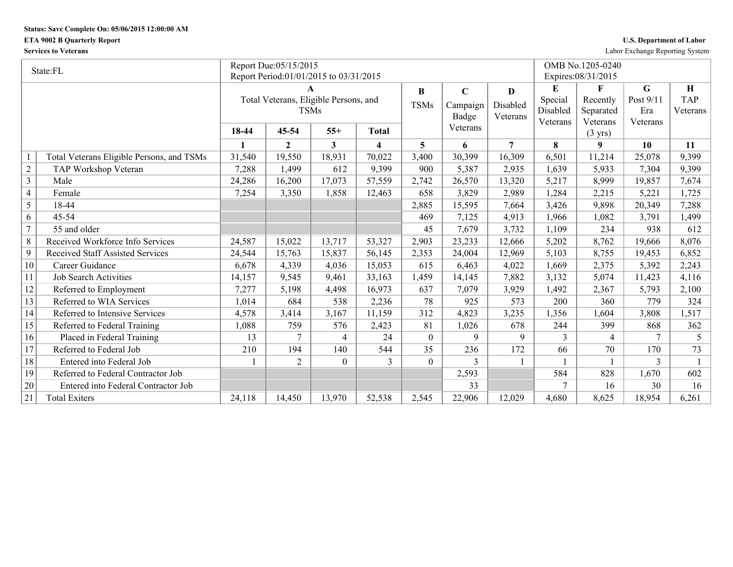## **ETA 9002 B Quarterly Report**

| <b>U.S. Department of Labor</b> |  |  |  |
|---------------------------------|--|--|--|
|---------------------------------|--|--|--|

**Services to Veterans** Labor Exchange Reporting System

|                | State:FL                                  |        | Report Due:05/15/2015                  |          |                         |                |             |                |          | OMB No.1205-0240              |           |            |
|----------------|-------------------------------------------|--------|----------------------------------------|----------|-------------------------|----------------|-------------|----------------|----------|-------------------------------|-----------|------------|
|                |                                           |        | Report Period:01/01/2015 to 03/31/2015 |          |                         |                |             |                |          | Expires: 08/31/2015           |           |            |
|                |                                           |        |                                        |          |                         | B              | $\mathbf C$ | D              | E        | $\mathbf{F}$                  | G         | H          |
|                |                                           |        | Total Veterans, Eligible Persons, and  |          |                         | <b>TSMs</b>    | Campaign    | Disabled       | Special  | Recently                      | Post 9/11 | <b>TAP</b> |
|                |                                           |        | <b>TSMs</b>                            |          |                         |                | Badge       | Veterans       | Disabled | Separated                     | Era       | Veterans   |
|                |                                           | 18-44  | 45-54                                  | $55+$    | <b>Total</b>            |                | Veterans    |                | Veterans | Veterans<br>$(3 \text{ yrs})$ | Veterans  |            |
|                |                                           | 1      | $\overline{2}$                         | 3        | $\overline{\mathbf{4}}$ | 5              | 6           | $\overline{7}$ | 8        | 9                             | 10        | 11         |
|                | Total Veterans Eligible Persons, and TSMs | 31,540 | 19,550                                 | 18,931   | 70,022                  | 3,400          | 30,399      | 16,309         | 6,501    | 11,214                        | 25,078    | 9,399      |
| $\sqrt{2}$     | TAP Workshop Veteran                      | 7,288  | 1,499                                  | 612      | 9,399                   | 900            | 5,387       | 2,935          | 1,639    | 5,933                         | 7,304     | 9,399      |
| $\overline{3}$ | Male                                      | 24,286 | 16,200                                 | 17,073   | 57,559                  | 2,742          | 26,570      | 13,320         | 5,217    | 8,999                         | 19,857    | 7,674      |
| $\overline{4}$ | Female                                    | 7,254  | 3,350                                  | 1,858    | 12,463                  | 658            | 3,829       | 2,989          | 1,284    | 2,215                         | 5,221     | 1,725      |
| 5              | 18-44                                     |        |                                        |          |                         | 2,885          | 15,595      | 7,664          | 3,426    | 9,898                         | 20,349    | 7,288      |
| 6              | 45-54                                     |        |                                        |          |                         | 469            | 7,125       | 4,913          | 1,966    | 1,082                         | 3,791     | 1,499      |
| $\overline{7}$ | 55 and older                              |        |                                        |          |                         | 45             | 7,679       | 3,732          | 1,109    | 234                           | 938       | 612        |
| $\,8\,$        | Received Workforce Info Services          | 24,587 | 15,022                                 | 13,717   | 53,327                  | 2,903          | 23,233      | 12,666         | 5,202    | 8,762                         | 19,666    | 8,076      |
| 9              | <b>Received Staff Assisted Services</b>   | 24,544 | 15,763                                 | 15,837   | 56,145                  | 2,353          | 24.004      | 12,969         | 5,103    | 8,755                         | 19,453    | 6,852      |
| 10             | Career Guidance                           | 6,678  | 4,339                                  | 4,036    | 15,053                  | 615            | 6,463       | 4,022          | 1,669    | 2,375                         | 5,392     | 2,243      |
| 11             | <b>Job Search Activities</b>              | 14,157 | 9,545                                  | 9,461    | 33,163                  | 1,459          | 14,145      | 7,882          | 3,132    | 5,074                         | 11,423    | 4,116      |
| 12             | Referred to Employment                    | 7,277  | 5,198                                  | 4,498    | 16,973                  | 637            | 7,079       | 3,929          | 1,492    | 2,367                         | 5,793     | 2,100      |
| 13             | Referred to WIA Services                  | 1,014  | 684                                    | 538      | 2,236                   | 78             | 925         | 573            | 200      | 360                           | 779       | 324        |
| 14             | Referred to Intensive Services            | 4,578  | 3,414                                  | 3,167    | 11,159                  | 312            | 4,823       | 3,235          | 1,356    | 1,604                         | 3,808     | 1,517      |
| 15             | Referred to Federal Training              | 1,088  | 759                                    | 576      | 2,423                   | 81             | 1,026       | 678            | 244      | 399                           | 868       | 362        |
| 16             | Placed in Federal Training                | 13     | 7                                      | 4        | 24                      | $\overline{0}$ | 9           | 9              | 3        | $\overline{4}$                | 7         | 5          |
| 17             | Referred to Federal Job                   | 210    | 194                                    | 140      | 544                     | 35             | 236         | 172            | 66       | 70                            | 170       | 73         |
| 18             | Entered into Federal Job                  |        | $\overline{2}$                         | $\theta$ | 3                       | $\theta$       | 3           |                |          |                               | 3         |            |
| 19             | Referred to Federal Contractor Job        |        |                                        |          |                         |                | 2,593       |                | 584      | 828                           | 1,670     | 602        |
| 20             | Entered into Federal Contractor Job       |        |                                        |          |                         |                | 33          |                |          | 16                            | 30        | 16         |
| 21             | <b>Total Exiters</b>                      | 24,118 | 14,450                                 | 13,970   | 52,538                  | 2,545          | 22,906      | 12,029         | 4,680    | 8,625                         | 18,954    | 6,261      |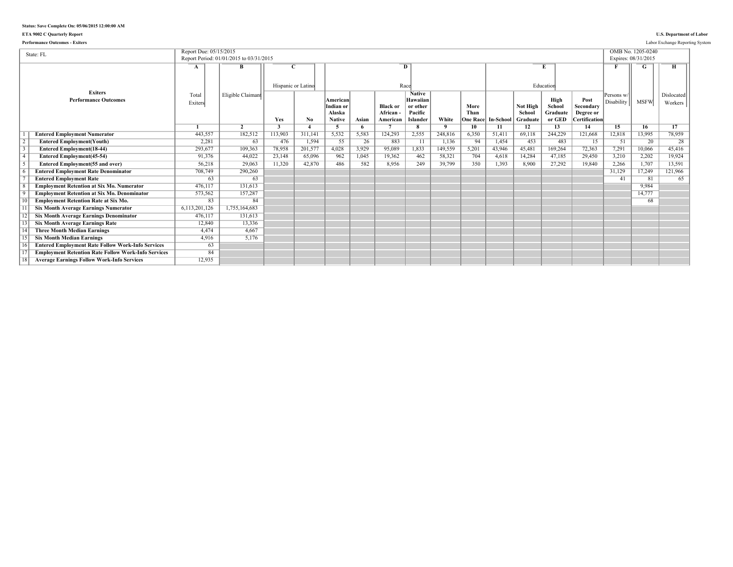### **ETA 9002 C Quarterly Report U.S. Department of Labor**

| <b>Performance Outcomes - Exiters</b>                                                      |                        |                                         |                    |                  |                                                  |             |                                        |                                                                     |                   |                                 |                 |                                |                                      |                                                        |                          |                                          | Labor Exchange Reporting System |
|--------------------------------------------------------------------------------------------|------------------------|-----------------------------------------|--------------------|------------------|--------------------------------------------------|-------------|----------------------------------------|---------------------------------------------------------------------|-------------------|---------------------------------|-----------------|--------------------------------|--------------------------------------|--------------------------------------------------------|--------------------------|------------------------------------------|---------------------------------|
| State: FL                                                                                  | Report Due: 05/15/2015 | Report Period: 01/01/2015 to 03/31/2015 |                    |                  |                                                  |             |                                        |                                                                     |                   |                                 |                 |                                |                                      |                                                        |                          | OMB No. 1205-0240<br>Expires: 08/31/2015 |                                 |
|                                                                                            | A                      | B                                       | Hispanic or Latino |                  |                                                  |             |                                        | D<br>Race                                                           |                   |                                 |                 |                                | Education                            |                                                        |                          |                                          |                                 |
| <b>Exiters</b><br><b>Performance Outcomes</b>                                              | Total<br>Exiters       | Eligible Claimant                       | Yes                | No.              | American<br>Indian or<br>Alaska<br><b>Native</b> | Asian       | <b>Black or</b><br>African<br>American | <b>Native</b><br>Hawaiian<br>or other<br>Pacific<br><b>Islander</b> | White             | More<br>Than<br><b>Dne Race</b> | In-School       | Not High<br>School<br>Graduate | High<br>School<br>Graduate<br>or GED | Post<br>Secondary<br>Degree or<br><b>Certification</b> | Persons w/<br>Disability | <b>MSFW</b>                              | Dislocated<br>Workers           |
|                                                                                            |                        | $\overline{2}$                          | 3                  |                  | -5                                               | 6           |                                        | 8                                                                   | $\mathbf{q}$      | 10                              | 11              | 12                             | 13                                   | 14                                                     | 15                       | 16                                       | 17<br>78.959                    |
| <b>Entered Employment Numerator</b>                                                        | 443,557<br>2,281       | 182,512<br>63                           | 113,903<br>476     | 311,141<br>1,594 | 5,532<br>55                                      | 5,583<br>26 | 124,293<br>883                         | 2,555<br>$\overline{11}$                                            | 248,816<br>1,136  | 6,350<br>94                     | 51,411<br>1,454 | 69.118<br>453                  | 244,229<br>483                       | 121,668<br>$\overline{15}$                             | 12,818<br>51             | 13,995<br>20                             | 28                              |
| <b>Entered Employment(Youth)</b>                                                           |                        | 109.363                                 | 78,958             | 201,577          | 4,028                                            | 3,929       |                                        | 1,833                                                               |                   | 5,201                           |                 |                                |                                      | 72,363                                                 | 7.291                    |                                          | 45,416                          |
| <b>Entered Employment(18-44)</b>                                                           | 293,677<br>91,376      | 44,022                                  | 23,148             | 65,096           | 962                                              | 1.045       | 95,089<br>19,362                       | 462                                                                 | 149,559<br>58,321 | 704                             | 43,946<br>4,618 | 45,481<br>14,284               | 169,264<br>47,185                    | 29,450                                                 | 3,210                    | 10,066<br>2,202                          | 19,924                          |
| <b>Entered Employment</b> (45-54)                                                          | 56,218                 | 29.063                                  | 11,320             | 42,870           | 486                                              | 582         | 8,956                                  | 249                                                                 | 39,799            | 350                             | 1.393           | 8.900                          | 27,292                               | 19.840                                                 | 2,266                    | 1,707                                    | 13,591                          |
| <b>Entered Employment(55 and over)</b>                                                     |                        |                                         |                    |                  |                                                  |             |                                        |                                                                     |                   |                                 |                 |                                |                                      |                                                        |                          |                                          |                                 |
| <b>Entered Employment Rate Denominator</b>                                                 | 708,749                | 290,260                                 |                    |                  |                                                  |             |                                        |                                                                     |                   |                                 |                 |                                |                                      |                                                        | 31,129                   | 17,249                                   | 121,966                         |
| <b>Entered Employment Rate</b><br><b>Employment Retention at Six Mo. Numerator</b>         | 63<br>476.117          | 63<br>131.613                           |                    |                  |                                                  |             |                                        |                                                                     |                   |                                 |                 |                                |                                      |                                                        | 41                       | 81<br>9.984                              | 65                              |
|                                                                                            |                        |                                         |                    |                  |                                                  |             |                                        |                                                                     |                   |                                 |                 |                                |                                      |                                                        |                          |                                          |                                 |
| <b>Employment Retention at Six Mo. Denominator</b>                                         | 573,562<br>83          | 157,287<br>84                           |                    |                  |                                                  |             |                                        |                                                                     |                   |                                 |                 |                                |                                      |                                                        |                          | 14,777                                   |                                 |
| <b>Employment Retention Rate at Six Mo.</b><br><b>Six Month Average Earnings Numerator</b> | 6,113,201,126          | 1,755,164,683                           |                    |                  |                                                  |             |                                        |                                                                     |                   |                                 |                 |                                |                                      |                                                        |                          | 68                                       |                                 |
|                                                                                            |                        |                                         |                    |                  |                                                  |             |                                        |                                                                     |                   |                                 |                 |                                |                                      |                                                        |                          |                                          |                                 |
| <b>Six Month Average Earnings Denominator</b>                                              | 476,117                | 131,613                                 |                    |                  |                                                  |             |                                        |                                                                     |                   |                                 |                 |                                |                                      |                                                        |                          |                                          |                                 |
| <b>Six Month Average Earnings Rate</b>                                                     | 12,840                 | 13,336                                  |                    |                  |                                                  |             |                                        |                                                                     |                   |                                 |                 |                                |                                      |                                                        |                          |                                          |                                 |
| <b>Three Month Median Earnings</b>                                                         | 4.474                  | 4.667                                   |                    |                  |                                                  |             |                                        |                                                                     |                   |                                 |                 |                                |                                      |                                                        |                          |                                          |                                 |
| <b>Six Month Median Earnings</b>                                                           | 4,916                  | 5.176                                   |                    |                  |                                                  |             |                                        |                                                                     |                   |                                 |                 |                                |                                      |                                                        |                          |                                          |                                 |
| <b>Entered Employment Rate Follow Work-Info Services</b>                                   | 63                     |                                         |                    |                  |                                                  |             |                                        |                                                                     |                   |                                 |                 |                                |                                      |                                                        |                          |                                          |                                 |
| <b>Employment Retention Rate Follow Work-Info Services</b>                                 | 84                     |                                         |                    |                  |                                                  |             |                                        |                                                                     |                   |                                 |                 |                                |                                      |                                                        |                          |                                          |                                 |
| <b>Average Earnings Follow Work-Info Services</b>                                          | 12,935                 |                                         |                    |                  |                                                  |             |                                        |                                                                     |                   |                                 |                 |                                |                                      |                                                        |                          |                                          |                                 |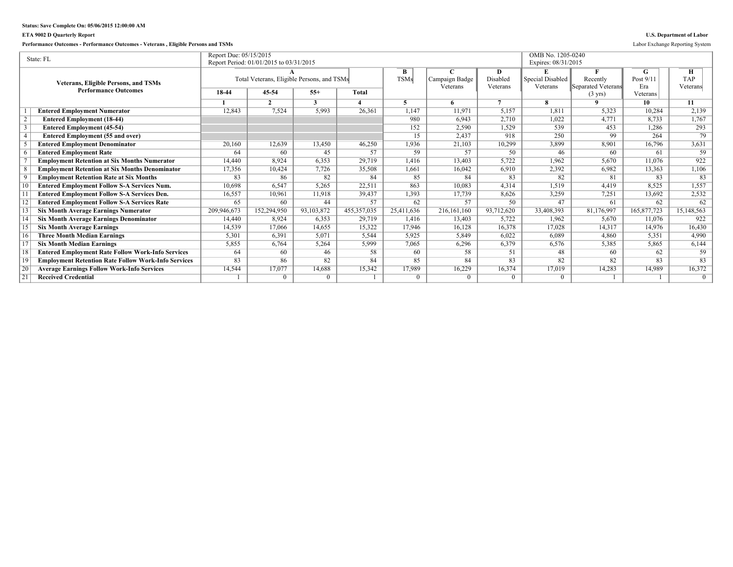### **ETA 9002 D Quarterly Report U.S. Department of Labor**

**Performance Outcomes - Performance Outcomes - Veterans , Eligible Persons and TSMs** Labor Exchange Reporting System

|    | State: FL                                                  | Report Due: 05/15/2015 |                                            |              |               |             |                |                | OMB No. 1205-0240   |                    |             |            |
|----|------------------------------------------------------------|------------------------|--------------------------------------------|--------------|---------------|-------------|----------------|----------------|---------------------|--------------------|-------------|------------|
|    |                                                            |                        | Report Period: 01/01/2015 to 03/31/2015    |              |               |             |                |                | Expires: 08/31/2015 |                    |             |            |
|    |                                                            |                        |                                            |              |               | B           |                | D              |                     |                    | G           | Н          |
|    | <b>Veterans, Eligible Persons, and TSMs</b>                |                        | Total Veterans, Eligible Persons, and TSMs |              |               | <b>TSMs</b> | Campaign Badge | Disabled       | Special Disabled    | Recently           | Post $9/1$  | <b>TAP</b> |
|    | <b>Performance Outcomes</b>                                |                        |                                            |              |               |             | Veterans       | Veterans       | Veterans            | Separated Veterans | Era         | Veterans   |
|    |                                                            | 18-44                  | 45-54                                      | $55+$        | Total         |             |                |                |                     | $(3 \text{ yrs})$  | Veterans    |            |
|    |                                                            |                        | $\mathcal{L}$                              | $\mathbf{3}$ |               |             | 6.             | $\overline{7}$ |                     | $\Omega$           | 10          | 11         |
|    | <b>Entered Employment Numerator</b>                        | 12,843                 | 7,524                                      | 5,993        | 26,361        | 1,147       | 11,971         | 5,157          | 1.811               | 5,323              | 10,284      | 2,139      |
|    | <b>Entered Employment (18-44)</b>                          |                        |                                            |              |               | 980         | 6.943          | 2,710          | 1.022               | 4,771              | 8,733       | 1,767      |
|    | <b>Entered Employment (45-54)</b>                          |                        |                                            |              |               | 152         | 2,590          | 1,529          | 539                 | 453                | 1,286       | 293        |
|    | <b>Entered Employment (55 and over)</b>                    |                        |                                            |              |               | 15          | 2,437          | 918            | 250                 | 99                 | 264         | 79         |
|    | <b>Entered Employment Denominator</b>                      | 20,160                 | 12,639                                     | 13,450       | 46,250        | 1,936       | 21,103         | 10,299         | 3,899               | 8,901              | 16,796      | 3,631      |
|    | <b>Entered Employment Rate</b>                             | 64                     | 60                                         | 45           | 57            | 59          | 57             | 50             | 46                  | 60                 | 61          | 59         |
|    | <b>Employment Retention at Six Months Numerator</b>        | 14,440                 | 8.924                                      | 6,353        | 29.719        | 1.416       | 13,403         | 5,722          | 1,962               | 5,670              | 11.076      | 922        |
|    | <b>Employment Retention at Six Months Denominator</b>      | 17,356                 | 10,424                                     | 7,726        | 35,508        | 1,661       | 16,042         | 6,910          | 2,392               | 6,982              | 13,363      | 1,106      |
|    | <b>Employment Retention Rate at Six Months</b>             | 83                     | 86                                         | 82           | 84            | 85          | 84             | 83             | 82                  | 81                 | 83          | 83         |
|    | <b>Entered Employment Follow S-A Services Num.</b>         | 10,698                 | 6,547                                      | 5,265        | 22,511        | 863         | 10,083         | 4,314          | 1,519               | 4,419              | 8,525       | 1,557      |
|    | <b>Entered Employment Follow S-A Services Den.</b>         | 16,557                 | 10,961                                     | 11,918       | 39,437        | 1,393       | 17,739         | 8,626          | 3,259               | 7,251              | 13,692      | 2,532      |
|    | <b>Entered Employment Follow S-A Services Rate</b>         | 65                     | 60                                         | 44           | 57            | 62          | 57             | 50             | 47                  | 61                 | 62          | 62         |
|    | <b>Six Month Average Earnings Numerator</b>                | 209,946,673            | 152,294,950                                | 93,103,872   | 455, 357, 035 | 25.411.636  | 216, 161, 160  | 93,712,620     | 33,408,393          | 81,176,997         | 165,877,723 | 15,148,563 |
|    | <b>Six Month Average Earnings Denominator</b>              | 14,440                 | 8.924                                      | 6,353        | 29,719        | 1,416       | 13,403         | 5,722          | 1.962               | 5,670              | 11.076      | 922        |
|    | <b>Six Month Average Earnings</b>                          | 14,539                 | 17,066                                     | 14,655       | 15,322        | 17,946      | 16,128         | 16,378         | 17,028              | 14,317             | 14.976      | 16,430     |
| 16 | <b>Three Month Median Earnings</b>                         | 5,301                  | 6.391                                      | 5,071        | 5.544         | 5,925       | 5.849          | 6.022          | 6.089               | 4.860              | 5.351       | 4,990      |
|    | <b>Six Month Median Earnings</b>                           | 5,855                  | 6,764                                      | 5,264        | 5,999         | 7,065       | 6,296          | 6,379          | 6,576               | 5,385              | 5,865       | 6,144      |
| 18 | <b>Entered Employment Rate Follow Work-Info Services</b>   | 64                     | 60                                         | 46           | 58            | 60          | 58             | 51             | 48                  | 60                 | 62          | 59         |
| 19 | <b>Employment Retention Rate Follow Work-Info Services</b> | 83                     | 86                                         | 82           | 84            | 85          | 84             | 83             | 82                  | 82                 | 83          | 83         |
| 20 | <b>Average Earnings Follow Work-Info Services</b>          | 14,544                 | 17,077                                     | 14,688       | 15,342        | 17,989      | 16,229         | 16,374         | 17,019              | 14,283             | 14.989      | 16,372     |
| 21 | <b>Received Credential</b>                                 |                        | $\Omega$                                   | $\Omega$     |               | $\Omega$    | $\Omega$       |                | 0                   |                    |             | $\Omega$   |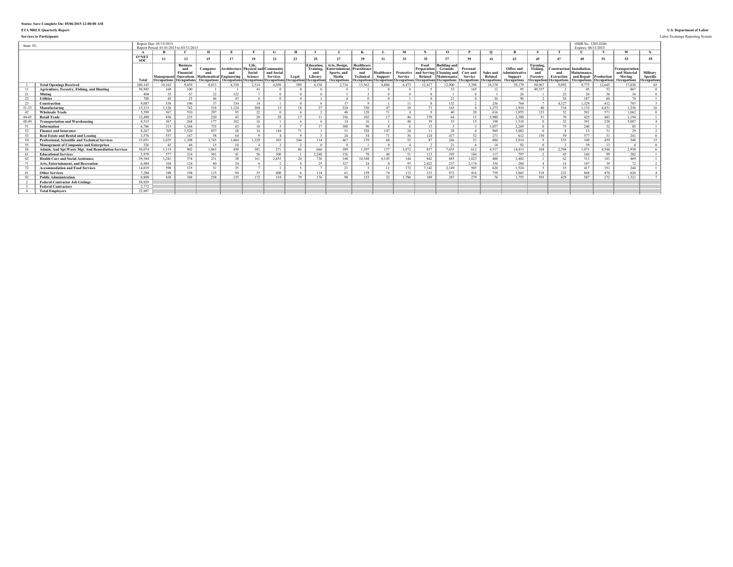### **ETA 9002 E Quarterly Report U.S. Department of Labor**

**Services to Participants** Labor Exchange Reporting System

| State: FL       |                                                                               |                       | Report Due: 05/15/2015<br>Report Period: 01/01/2015 to 03/31/201: |                                                       |                                                                                   |                     |                                                     |                               |       |                                                 |                                                         |                                                |                                         |                                                              |                                               |                                                                      |                                                                          |                      |                                                |                                         |                                                               | OMB No. 1205-0240<br>Expires: 08/31/2015 |                    |                                                 |                      |
|-----------------|-------------------------------------------------------------------------------|-----------------------|-------------------------------------------------------------------|-------------------------------------------------------|-----------------------------------------------------------------------------------|---------------------|-----------------------------------------------------|-------------------------------|-------|-------------------------------------------------|---------------------------------------------------------|------------------------------------------------|-----------------------------------------|--------------------------------------------------------------|-----------------------------------------------|----------------------------------------------------------------------|--------------------------------------------------------------------------|----------------------|------------------------------------------------|-----------------------------------------|---------------------------------------------------------------|------------------------------------------|--------------------|-------------------------------------------------|----------------------|
|                 |                                                                               |                       |                                                                   |                                                       | $\mathbf{D}$                                                                      |                     |                                                     | G.                            |       |                                                 |                                                         |                                                |                                         |                                                              |                                               | $^{\circ}$                                                           |                                                                          |                      |                                                |                                         |                                                               |                                          |                    | $\boldsymbol{u}$                                |                      |
|                 |                                                                               | $O*NET$<br><b>SOC</b> | 11                                                                |                                                       | 15                                                                                | 17                  | 19                                                  | 21                            | 23    | 25                                              | 27                                                      | 29                                             |                                         | 33                                                           | 35                                            |                                                                      | 39                                                                       | 41                   | 43                                             | 45                                      | 47                                                            | 4 <sup>0</sup>                           | 51                 | 53                                              | 55                   |
|                 |                                                                               | Total                 |                                                                   | <b>Business</b><br>Financial<br>Management Operations | Computer<br>and<br>Mathematical Engineering                                       | Architecture<br>and | Life.<br>Physical and Communit<br>Social<br>Science | and Social<br><b>Services</b> | Legal | <b>Education,</b><br>Training<br>and<br>Library | Arts, Design,<br>Intertainment.<br>Sports, and<br>Media | Healthcare<br>Practitioner<br>and<br>Technical | Healthcare Protective<br><b>Support</b> | <b>Service</b><br><b>Decupations Occupations Occupations</b> | Food<br>Preparation<br>and Serving<br>Related | <b>Building and</b><br><b>Grounds</b><br>Cleaning and<br>Maintenance | Personal<br>Care and<br><b>Service</b><br><b>Occupations Occupations</b> | Sales and<br>Related | Office and<br>Administrative<br><b>Support</b> | Farming,<br>Fishing.<br>and<br>Forestry | <b>Construction</b> Installation.<br>and<br><b>Extraction</b> | Maintenance.<br>and Repair Production    | <b>Occupation:</b> | <b>Transportation</b><br>and Material<br>Moving | Military<br>Specific |
|                 |                                                                               |                       |                                                                   | Occupations   Occupations                             | Occupations   Occupations   Occupations   Occupations   Occupations   Occupations |                     | 2.514                                               |                               | 589   | 4 1 5 8                                         | Occupations<br>2.716                                    |                                                | 6.886                                   | 6.473                                                        | 12.417                                        | Occupations Occupations                                              |                                                                          | 18.378               | <b>Occupations</b>                             | 50.967                                  | <b>Occupations</b> Occupations                                | <b>Occupations</b>                       |                    | <b>Occupations</b>                              | <b>Occupations</b>   |
| $\overline{11}$ | <b>Total Openings Received</b><br>Agriculture, Forestry, Fishing, and Hunting | 260,145<br>50.945     | 10,162<br>168                                                     | 9,039<br>100                                          | 8.813                                                                             | 4,330               | 41                                                  | 4.050                         |       |                                                 |                                                         | 13,563                                         |                                         |                                                              |                                               | 12,900                                                               | 5,398<br>165                                                             | 12                   | 39,179<br>95                                   | 49.357                                  | 9,092                                                         | 3,775<br>45                              | 12,645<br>52       | 17,036<br>867                                   | 65<br>$\Omega$       |
|                 |                                                                               |                       | 35                                                                | 67                                                    |                                                                                   |                     |                                                     |                               |       |                                                 |                                                         |                                                |                                         |                                                              |                                               |                                                                      |                                                                          |                      |                                                |                                         |                                                               |                                          |                    |                                                 | $\Omega$             |
| 21              | Mining<br><b>Utilities</b>                                                    | 404<br>700            | 45                                                                | 25                                                    | 22<br>46                                                                          | 122<br>43           |                                                     |                               |       |                                                 |                                                         |                                                |                                         |                                                              | $\theta$                                      | 21                                                                   |                                                                          | 36                   | 26<br>90                                       |                                         | 22<br>54                                                      | 24<br>187                                | 36<br>60           | 34<br>74                                        |                      |
| 22<br>23        | Construction                                                                  | 9.087                 | 538                                                               | 196                                                   | 37                                                                                | 334                 | 14                                                  |                               |       |                                                 | 17                                                      |                                                |                                         | 11                                                           |                                               | 132                                                                  |                                                                          | 236                  | 764                                            |                                         | 4,327                                                         | 1,329                                    | 412                | 703                                             |                      |
|                 |                                                                               | 15.213                |                                                                   | 742                                                   | 518                                                                               |                     | 204                                                 |                               | 18    | 27                                              |                                                         | 330                                            | 47                                      | 10                                                           | 71                                            | 163                                                                  |                                                                          | 1.273                |                                                | 40                                      |                                                               |                                          | 4,431              |                                                 |                      |
| $31 - 33$       | Manufacturing<br><b>Wholesale Trade</b>                                       | 5.599                 | 1,126<br>367                                                      |                                                       | 297                                                                               | 1,124<br>95         | 22                                                  |                               |       |                                                 | 224<br>48                                               | 128                                            | 71                                      |                                                              |                                               | 40                                                                   | 20                                                                       | 616                  | 1,934                                          |                                         | 534                                                           | 1,132                                    |                    | 1,236<br>1,062                                  | 16<br>$\overline{0}$ |
| 42              |                                                                               |                       |                                                                   | 510<br>235                                            | 220                                                                               |                     |                                                     | 28                            | 17    |                                                 |                                                         |                                                | 17                                      |                                                              |                                               |                                                                      |                                                                          |                      | 1,055<br>2.388                                 | 123                                     | 52<br>70                                                      | 501                                      | 571                | 1.194                                           |                      |
| 44-45           | <b>Retail Trade</b>                                                           | 12.490<br>8.515       | 436<br>367                                                        | 268                                                   |                                                                                   | 43                  | 20                                                  |                               |       |                                                 | 356                                                     | 102                                            |                                         | 46                                                           | 370<br>39                                     | 64                                                                   | 15                                                                       | 5.980                |                                                | 51                                      | 32                                                            | 425                                      | 401                |                                                 |                      |
| 48-49           | <b>Transportation and Warehousing</b>                                         |                       |                                                                   |                                                       | 177                                                                               | 102                 | 16                                                  |                               |       | 17                                              | 14                                                      | 16                                             |                                         | 48                                                           |                                               |                                                                      | 15                                                                       | 198                  | 1.518                                          |                                         | 75                                                            | 391                                      | 238                | 5.007                                           |                      |
| 51              | Information                                                                   | 6.786                 | 315                                                               | 1.344                                                 | 753                                                                               | 63                  | 10                                                  |                               |       |                                                 | 388                                                     | 90                                             |                                         |                                                              | 13                                            |                                                                      |                                                                          | 1.057                | 2,269                                          |                                         |                                                               | 240                                      | 32                 | 85                                              |                      |
| 52              | <b>Finance and Insurance</b>                                                  | 8.267                 | 705                                                               | 1,520                                                 | 857                                                                               | 28                  | 14                                                  | 144                           | 71    |                                                 | 51                                                      | 528                                            | 147                                     | 24                                                           | 11                                            | 28                                                                   |                                                                          | 969                  | 3,082                                          |                                         |                                                               | 13                                       | 31                 | 29                                              | 2                    |
| 53              | <b>Real Estate and Rental and Leasing</b>                                     | 3.570                 | 557                                                               | 167                                                   | 58                                                                                | 64                  |                                                     |                               |       |                                                 | 24                                                      | 54                                             | 71                                      | 36                                                           | 124                                           | 417                                                                  | 32                                                                       | 271                  | 612                                            | 150                                     | 59                                                            | 577                                      | 31                 | 241                                             | $\Omega$             |
| 54              | <b>Professional, Scientific and Technical Services</b>                        | 15.051                | 1.035                                                             | 1.308                                                 | 3.745                                                                             | 1.484               | 1,329                                               | 103                           | 244   | 114                                             | 467                                                     | 139                                            | 60                                      | 52                                                           | 87                                            | 246                                                                  | 23                                                                       | 886                  | 2.014                                          |                                         | 335                                                           | 349                                      | 459                | 548                                             | 15                   |
| 55              | <b>Management of Companies and Enterprises</b>                                | 326                   | 43                                                                | 46                                                    | 15                                                                                | 10                  |                                                     |                               |       |                                                 |                                                         |                                                |                                         |                                                              |                                               | 21                                                                   |                                                                          | -18                  | 92                                             |                                         |                                                               | 39                                       | 13                 |                                                 | $\Omega$             |
| 56              | Admin. And Spt. Waste Mgt. And Remediation Services                           | 50.074                | 1.119                                                             | 902                                                   | 1,063                                                                             | 450                 | 381                                                 | 271                           | 86    | 666                                             | 309                                                     | 1.397                                          | 157                                     | 3,872                                                        | 837                                           | 7,653                                                                | 612                                                                      | 4,517                | 14,413                                         | 104                                     | 2,704                                                         | 1,071                                    | 4.546              | 2,938                                           |                      |
| 61              | <b>Educational Services</b>                                                   | 5978                  | 577                                                               | 214                                                   | 301                                                                               | $\overline{A}$ 1    | -56                                                 | 300                           |       | 2.248                                           | 156                                                     | 78                                             | $\overline{A}\overline{A}$              | 51                                                           | 113                                           | 193                                                                  | 104                                                                      | 117                  | 797                                            |                                         | 43                                                            | 160                                      | 99                 | 282                                             |                      |
| 62              | <b>Health Care and Social Assistance</b>                                      | 29.544                | 1.241                                                             | 574                                                   | 231                                                                               | 38                  | 161                                                 | 2,455                         | 24    | 736                                             | 148                                                     | 10.348                                         | 6.145                                   | 144                                                          | 842                                           | 685                                                                  | 1,023                                                                    | 400                  | 3,402                                          |                                         | 62                                                            | 313                                      | 101                | 469                                             |                      |
| 71              | Arts, Entertainment, and Recreation                                           | 6484                  | 104                                                               | 124                                                   | 60                                                                                | 24                  |                                                     |                               |       | $\Delta \epsilon$                               | 327                                                     | 24                                             |                                         | 93                                                           | 2,422                                         | 237                                                                  | 2.174                                                                    | 336                  | 284                                            |                                         | 14                                                            | 107                                      | 39                 | 72                                              |                      |
| 72              | <b>Accommodation and Food Services</b>                                        | 14.019                | 598                                                               | 135                                                   | 31                                                                                | 35                  |                                                     |                               |       |                                                 | 21                                                      |                                                | 11                                      | 172                                                          | 7,142                                         | 2,149                                                                | 505                                                                      | 620                  | 1,524                                          |                                         | 35                                                            | 417                                      | 351                | 244                                             |                      |
| 81              | <b>Other Services</b>                                                         | 7.284                 | 348                                                               | 194                                                   | 123                                                                               | 94                  | 35                                                  | 400                           |       | 114                                             | 61                                                      | 159                                            | 74                                      | 113                                                          | 133                                           | 472                                                                  | 416                                                                      | 759                  | 1.065                                          | 518                                     | 232                                                           | 868                                      | 470                | 626                                             |                      |
| 92              | <b>Public Administration</b>                                                  | 9.809                 | 438                                                               | 368                                                   | 258                                                                               | 135                 | 172                                                 | 319                           | 70    | 176                                             | 98                                                      | 153                                            | 32                                      | .786                                                         | 189                                           | 287                                                                  | 279                                                                      | 76                   | 1.755                                          | 593                                     | 429                                                           | 587                                      | 272                | 1.321                                           |                      |
|                 | <b>Federal Contractor Job Listings</b>                                        | 58,929                |                                                                   |                                                       |                                                                                   |                     |                                                     |                               |       |                                                 |                                                         |                                                |                                         |                                                              |                                               |                                                                      |                                                                          |                      |                                                |                                         |                                                               |                                          |                    |                                                 |                      |
|                 | <b>Federal Contractors</b>                                                    | 2,772                 |                                                                   |                                                       |                                                                                   |                     |                                                     |                               |       |                                                 |                                                         |                                                |                                         |                                                              |                                               |                                                                      |                                                                          |                      |                                                |                                         |                                                               |                                          |                    |                                                 |                      |
|                 | <b>Total Employers</b>                                                        | 22.887                |                                                                   |                                                       |                                                                                   |                     |                                                     |                               |       |                                                 |                                                         |                                                |                                         |                                                              |                                               |                                                                      |                                                                          |                      |                                                |                                         |                                                               |                                          |                    |                                                 |                      |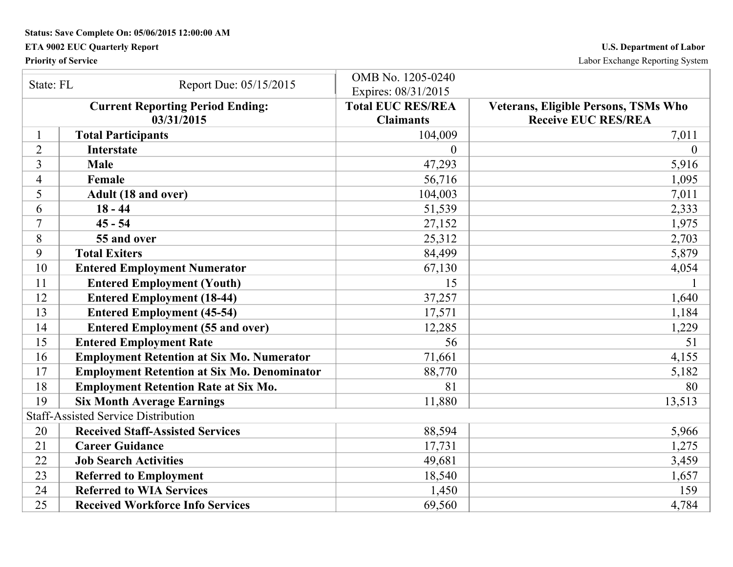## **ETA 9002 EUC Quarterly Report U.S. Department of Labor**

**Priority of Service** Labor Exchange Reporting System

| State: FL      | Report Due: 05/15/2015                                | OMB No. 1205-0240<br>Expires: 08/31/2015     |                                                                    |
|----------------|-------------------------------------------------------|----------------------------------------------|--------------------------------------------------------------------|
|                | <b>Current Reporting Period Ending:</b><br>03/31/2015 | <b>Total EUC RES/REA</b><br><b>Claimants</b> | Veterans, Eligible Persons, TSMs Who<br><b>Receive EUC RES/REA</b> |
|                | <b>Total Participants</b>                             | 104,009                                      | 7,011                                                              |
| $\overline{2}$ | <b>Interstate</b>                                     | $\theta$                                     | $\overline{0}$                                                     |
| 3              | <b>Male</b>                                           | 47,293                                       | 5,916                                                              |
| 4              | Female                                                | 56,716                                       | 1,095                                                              |
| 5              | Adult (18 and over)                                   | 104,003                                      | 7,011                                                              |
| 6              | $18 - 44$                                             | 51,539                                       | 2,333                                                              |
| 7              | $45 - 54$                                             | 27,152                                       | 1,975                                                              |
| 8              | 55 and over                                           | 25,312                                       | 2,703                                                              |
| 9              | <b>Total Exiters</b>                                  | 84,499                                       | 5,879                                                              |
| 10             | <b>Entered Employment Numerator</b>                   | 67,130                                       | 4,054                                                              |
| 11             | <b>Entered Employment (Youth)</b>                     | 15                                           |                                                                    |
| 12             | <b>Entered Employment (18-44)</b>                     | 37,257                                       | 1,640                                                              |
| 13             | <b>Entered Employment (45-54)</b>                     | 17,571                                       | 1,184                                                              |
| 14             | <b>Entered Employment (55 and over)</b>               | 12,285                                       | 1,229                                                              |
| 15             | <b>Entered Employment Rate</b>                        | 56                                           | 51                                                                 |
| 16             | <b>Employment Retention at Six Mo. Numerator</b>      | 71,661                                       | 4,155                                                              |
| 17             | <b>Employment Retention at Six Mo. Denominator</b>    | 88,770                                       | 5,182                                                              |
| 18             | <b>Employment Retention Rate at Six Mo.</b>           | 81                                           | 80                                                                 |
| 19             | <b>Six Month Average Earnings</b>                     | 11,880                                       | 13,513                                                             |
|                | <b>Staff-Assisted Service Distribution</b>            |                                              |                                                                    |
| 20             | <b>Received Staff-Assisted Services</b>               | 88,594                                       | 5,966                                                              |
| 21             | <b>Career Guidance</b>                                | 17,731                                       | 1,275                                                              |
| 22             | <b>Job Search Activities</b>                          | 49,681                                       | 3,459                                                              |
| 23             | <b>Referred to Employment</b>                         | 18,540                                       | 1,657                                                              |
| 24             | <b>Referred to WIA Services</b>                       | 1,450                                        | 159                                                                |
| 25             | <b>Received Workforce Info Services</b>               | 69,560                                       | 4,784                                                              |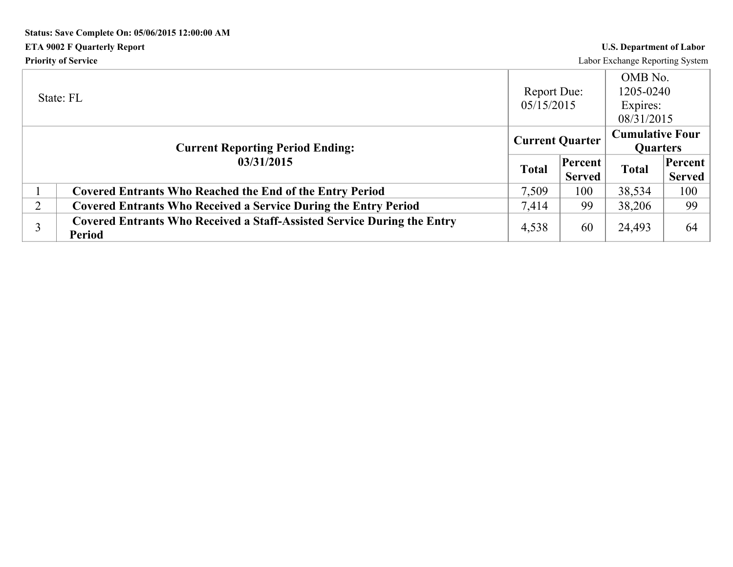# **Status: Save Complete On: 05/06/2015 12:00:00 AM ETA 9002 F Quarterly Report U.S. Department of Labor Priority of Service** Labor Exchange Reporting System

|                | State: FL                                                                                       | <b>Report Due:</b><br>05/15/2015 |                          | OMB No.<br>1205-0240<br>Expires:<br>08/31/2015 |                          |
|----------------|-------------------------------------------------------------------------------------------------|----------------------------------|--------------------------|------------------------------------------------|--------------------------|
|                | <b>Current Reporting Period Ending:</b>                                                         | <b>Current Quarter</b>           |                          | <b>Cumulative Four</b><br><b>Quarters</b>      |                          |
|                | 03/31/2015                                                                                      | <b>Total</b>                     | Percent<br><b>Served</b> | <b>Total</b>                                   | Percent<br><b>Served</b> |
|                | <b>Covered Entrants Who Reached the End of the Entry Period</b>                                 | 7,509                            | 100                      | 38,534                                         | 100                      |
| $\overline{2}$ | <b>Covered Entrants Who Received a Service During the Entry Period</b>                          | 7,414                            | 99                       | 38,206                                         | 99                       |
|                | <b>Covered Entrants Who Received a Staff-Assisted Service During the Entry</b><br><b>Period</b> | 4,538                            | 60                       | 24,493                                         | 64                       |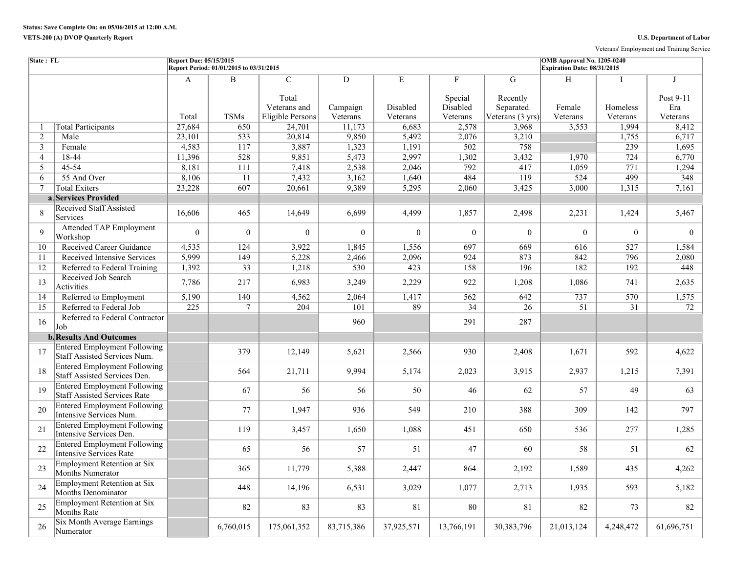Veterans' Employment and Training Service

| State: FL      |                                                                            | Report Due: 05/15/2015 | Report Period: 01/01/2015 to 03/31/2015 |                                                            |                                        |                           |                                                 |                                                | <b>OMB</b> Approval No. 1205-0240<br>Expiration Date: 08/31/2015 |                           |                                             |
|----------------|----------------------------------------------------------------------------|------------------------|-----------------------------------------|------------------------------------------------------------|----------------------------------------|---------------------------|-------------------------------------------------|------------------------------------------------|------------------------------------------------------------------|---------------------------|---------------------------------------------|
|                |                                                                            | A<br>Total             | $\, {\bf B}$<br><b>TSMs</b>             | $\mathcal{C}$<br>Total<br>Veterans and<br>Eligible Persons | $\overline{D}$<br>Campaign<br>Veterans | Е<br>Disabled<br>Veterans | $\mathbf{F}$<br>Special<br>Disabled<br>Veterans | G<br>Recently<br>Separated<br>Veterans (3 yrs) | H<br>Female<br>Veterans                                          | Ι<br>Homeless<br>Veterans | $\mathbf I$<br>Post 9-11<br>Era<br>Veterans |
| $\overline{1}$ | <b>Total Participants</b>                                                  | 27,684                 | 650                                     | 24,701                                                     | 11,173                                 | 6,683                     | 2,578                                           | 3,968                                          | 3,553                                                            | 1,994                     | 8,412                                       |
| 2              | Male                                                                       | 23,101                 | 533                                     | 20,814                                                     | 9,850                                  | 5,492                     | 2,076                                           | 3,210                                          |                                                                  | 1,755                     | 6,717                                       |
| $\mathfrak{Z}$ | Female                                                                     | 4,583                  | 117                                     | 3,887                                                      | 1,323                                  | 1,191                     | 502                                             | 758                                            |                                                                  | 239                       | 1,695                                       |
| $\overline{4}$ | 18-44                                                                      | 11,396                 | 528                                     | 9,851                                                      | 5,473                                  | 2,997                     | 1,302                                           | 3,432                                          | 1,970                                                            | 724                       | 6,770                                       |
| 5              | 45-54                                                                      | 8,181                  | 111                                     | 7,418                                                      | 2,538                                  | 2,046                     | 792                                             | 417                                            | 1,059                                                            | 771                       | 1,294                                       |
| 6              | 55 And Over                                                                | 8,106                  | $\overline{11}$                         | 7,432                                                      | 3,162                                  | 1,640                     | 484                                             | 119                                            | 524                                                              | 499                       | 348                                         |
| 7              | <b>Total Exiters</b>                                                       | 23,228                 | 607                                     | 20,661                                                     | 9,389                                  | 5,295                     | 2,060                                           | 3,425                                          | 3,000                                                            | 1,315                     | 7,161                                       |
|                | a Services Provided                                                        |                        |                                         |                                                            |                                        |                           |                                                 |                                                |                                                                  |                           |                                             |
| 8              | <b>Received Staff Assisted</b><br>Services                                 | 16,606                 | 465                                     | 14,649                                                     | 6,699                                  | 4,499                     | 1,857                                           | 2,498                                          | 2,231                                                            | 1,424                     | 5,467                                       |
| 9              | <b>Attended TAP Employment</b><br>Workshop                                 | $\theta$               | $\boldsymbol{0}$                        | $\Omega$                                                   | $\theta$                               | $\theta$                  | $\theta$                                        | $\theta$                                       | $\Omega$                                                         | $\theta$                  | $\theta$                                    |
| 10             | Received Career Guidance                                                   | 4,535                  | 124                                     | 3,922                                                      | 1,845                                  | 1,556                     | 697                                             | 669                                            | 616                                                              | 527                       | 1,584                                       |
| 11             | Received Intensive Services                                                | 5,999                  | 149                                     | 5,228                                                      | 2,466                                  | 2,096                     | 924                                             | 873                                            | 842                                                              | 796                       | 2,080                                       |
| 12             | Referred to Federal Training                                               | 1,392                  | 33                                      | 1,218                                                      | 530                                    | 423                       | 158                                             | 196                                            | 182                                                              | 192                       | 448                                         |
| 13             | Received Job Search<br>Activities                                          | 7,786                  | 217                                     | 6,983                                                      | 3,249                                  | 2,229                     | 922                                             | 1,208                                          | 1,086                                                            | 741                       | 2,635                                       |
| 14             | Referred to Employment                                                     | 5,190                  | 140                                     | 4,562                                                      | 2,064                                  | 1,417                     | 562                                             | 642                                            | 737                                                              | 570                       | 1,575                                       |
| 15             | Referred to Federal Job                                                    | $\overline{225}$       | $\tau$                                  | 204                                                        | 101                                    | 89                        | $\overline{34}$                                 | 26                                             | 51                                                               | $\overline{31}$           | 72                                          |
| 16             | Referred to Federal Contractor<br>Job                                      |                        |                                         |                                                            | 960                                    |                           | 291                                             | 287                                            |                                                                  |                           |                                             |
|                | <b>b.</b> Results And Outcomes                                             |                        |                                         |                                                            |                                        |                           |                                                 |                                                |                                                                  |                           |                                             |
| 17             | <b>Entered Employment Following</b><br>Staff Assisted Services Num.        |                        | 379                                     | 12,149                                                     | 5,621                                  | 2,566                     | 930                                             | 2,408                                          | 1,671                                                            | 592                       | 4,622                                       |
| 18             | <b>Entered Employment Following</b><br>Staff Assisted Services Den.        |                        | 564                                     | 21,711                                                     | 9,994                                  | 5,174                     | 2,023                                           | 3,915                                          | 2,937                                                            | 1,215                     | 7,391                                       |
| 19             | <b>Entered Employment Following</b><br><b>Staff Assisted Services Rate</b> |                        | 67                                      | 56                                                         | 56                                     | 50                        | 46                                              | 62                                             | 57                                                               | 49                        | 63                                          |
| 20             | <b>Entered Employment Following</b><br>Intensive Services Num.             |                        | 77                                      | 1,947                                                      | 936                                    | 549                       | 210                                             | 388                                            | 309                                                              | 142                       | 797                                         |
| 21             | <b>Entered Employment Following</b><br>Intensive Services Den.             |                        | 119                                     | 3,457                                                      | 1,650                                  | 1,088                     | 451                                             | 650                                            | 536                                                              | 277                       | 1,285                                       |
| 22             | <b>Entered Employment Following</b><br>Intensive Services Rate             |                        | 65                                      | 56                                                         | 57                                     | 51                        | 47                                              | 60                                             | 58                                                               | 51                        | 62                                          |
| 23             | <b>Employment Retention at Six</b><br>Months Numerator                     |                        | 365                                     | 11,779                                                     | 5,388                                  | 2,447                     | 864                                             | 2,192                                          | 1,589                                                            | 435                       | 4,262                                       |
| 24             | <b>Employment Retention at Six</b><br>Months Denominator                   |                        | 448                                     | 14,196                                                     | 6,531                                  | 3,029                     | 1,077                                           | 2,713                                          | 1,935                                                            | 593                       | 5,182                                       |
| 25             | Employment Retention at Six<br>Months Rate                                 |                        | 82                                      | 83                                                         | 83                                     | 81                        | 80                                              | 81                                             | 82                                                               | 73                        | 82                                          |
| 26             | Six Month Average Earnings<br>Numerator                                    |                        | 6,760,015                               | 175,061,352                                                | 83,715,386                             | 37,925,571                | 13,766,191                                      | 30,383,796                                     | 21,013,124                                                       | 4,248,472                 | 61,696,751                                  |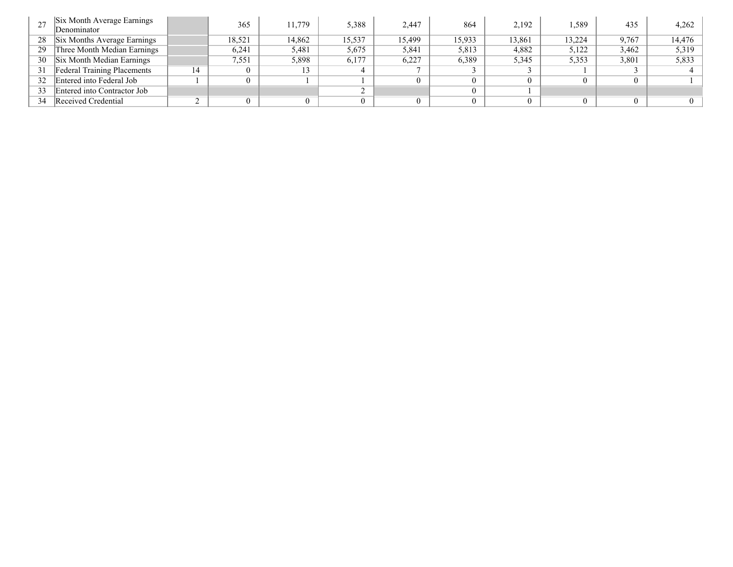|    | Six Month Average Earnings<br>Denominator |    | 365    | 11.779 | 5,388  | 2,447  | 864    | 2,192  | .589   | 435   | 4,262    |
|----|-------------------------------------------|----|--------|--------|--------|--------|--------|--------|--------|-------|----------|
| 28 | Six Months Average Earnings               |    | 18,521 | 14,862 | 15,537 | 15,499 | 15,933 | 13,861 | 13,224 | 9,767 | 14,476   |
| 29 | Three Month Median Earnings               |    | 6,241  | 5,481  | 5,675  | 5,841  | 5,813  | 4,882  | 5,122  | 3,462 | 5,319    |
| 30 | Six Month Median Earnings                 |    | 7.551  | 5,898  | 6,177  | 6,227  | 6,389  | 5,345  | 5,353  | 3,801 | 5,833    |
| 31 | <b>Federal Training Placements</b>        | 14 |        |        |        |        |        |        |        |       |          |
| 32 | Entered into Federal Job                  |    |        |        |        |        |        |        |        |       |          |
| 33 | Entered into Contractor Job               |    |        |        |        |        |        |        |        |       |          |
| 34 | Received Credential                       |    |        |        |        |        |        |        |        |       | $\Omega$ |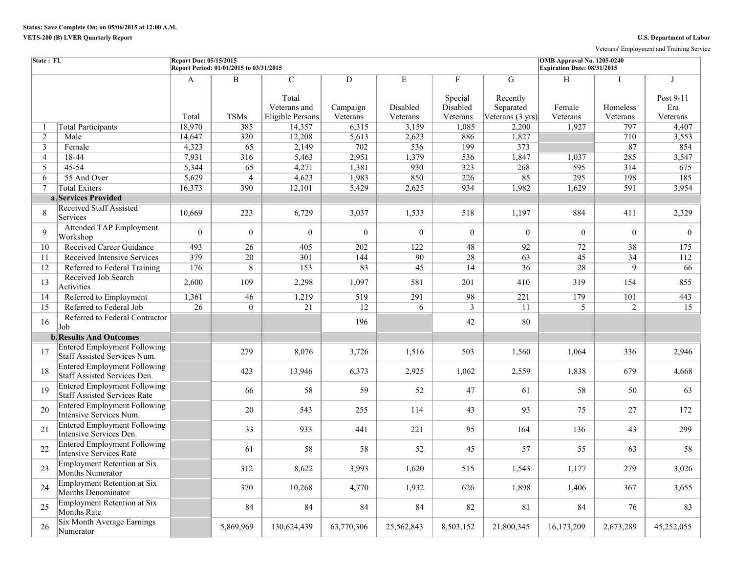Veterans' Employment and Training Service

| State: FL       |                                                                            | Report Due: 05/15/2015 | Report Period: 01/01/2015 to 03/31/2015 |                                                             |                           |                           |                                      |                                                | OMB Approval No. 1205-0240<br>Expiration Date: 08/31/2015 |                      |                              |
|-----------------|----------------------------------------------------------------------------|------------------------|-----------------------------------------|-------------------------------------------------------------|---------------------------|---------------------------|--------------------------------------|------------------------------------------------|-----------------------------------------------------------|----------------------|------------------------------|
|                 |                                                                            | A<br>Total             | B<br><b>TSMs</b>                        | $\overline{C}$<br>Total<br>Veterans and<br>Eligible Persons | D<br>Campaign<br>Veterans | E<br>Disabled<br>Veterans | F<br>Special<br>Disabled<br>Veterans | G<br>Recently<br>Separated<br>Veterans (3 yrs) | H<br>Female<br>Veterans                                   | Homeless<br>Veterans | Post 9-11<br>Era<br>Veterans |
| 1               | <b>Total Participants</b>                                                  | 18,970                 | 385                                     | 14,357                                                      | 6,315                     | 3,159                     | 1,085                                | 2,200                                          | 1,927                                                     | 797                  | 4,407                        |
| 2               | Male                                                                       | 14,647                 | 320                                     | 12,208                                                      | 5,613                     | 2,623                     | 886                                  | 1,827                                          |                                                           | 710                  | 3,553                        |
| $\overline{3}$  | Female                                                                     | 4,323                  | 65                                      | 2,149                                                       | 702                       | 536                       | 199                                  | 373                                            |                                                           | 87                   | 854                          |
| $\overline{4}$  | 18-44                                                                      | 7,931                  | 316                                     | 5,463                                                       | 2,951                     | 1,379                     | 536                                  | 1,847                                          | 1,037                                                     | 285                  | 3,547                        |
| 5               | 45-54                                                                      | 5,344                  | 65                                      | 4,271                                                       | 1,381                     | 930                       | 323                                  | 268                                            | 595                                                       | 314                  | 675                          |
| 6               | 55 And Over                                                                | 5,629                  | $\overline{4}$                          | 4,623                                                       | 1,983                     | 850                       | 226                                  | 85                                             | 295                                                       | 198                  | 185                          |
| $7\overline{ }$ | <b>Total Exiters</b>                                                       | 16,373                 | 390                                     | 12,101                                                      | 5,429                     | 2,625                     | 934                                  | 1,982                                          | 1,629                                                     | 591                  | 3,954                        |
|                 | a Services Provided                                                        |                        |                                         |                                                             |                           |                           |                                      |                                                |                                                           |                      |                              |
| 8               | <b>Received Staff Assisted</b><br>Services                                 | 10,669                 | 223                                     | 6,729                                                       | 3,037                     | 1,533                     | 518                                  | 1,197                                          | 884                                                       | 411                  | 2,329                        |
| 9               | <b>Attended TAP Employment</b><br>Workshop                                 | $\theta$               | $\overline{0}$                          | $\boldsymbol{0}$                                            | $\boldsymbol{0}$          | $\mathbf{0}$              | $\theta$                             | $\theta$                                       | $\theta$                                                  | $\Omega$             | $\overline{0}$               |
| 10              | <b>Received Career Guidance</b>                                            | 493                    | $\overline{26}$                         | 405                                                         | 202                       | 122                       | 48                                   | 92                                             | $\overline{72}$                                           | 38                   | 175                          |
| 11              | Received Intensive Services                                                | 379                    | $\overline{20}$                         | 301                                                         | 144                       | 90                        | $\overline{28}$                      | $\overline{63}$                                | $\overline{45}$                                           | 34                   | 112                          |
| 12              | Referred to Federal Training                                               | 176                    | $\overline{8}$                          | 153                                                         | 83                        | 45                        | 14                                   | 36                                             | 28                                                        | $\overline{9}$       | 66                           |
| 13              | Received Job Search<br>Activities                                          | 2,600                  | 109                                     | 2,298                                                       | 1,097                     | 581                       | 201                                  | 410                                            | 319                                                       | 154                  | 855                          |
| 14              | Referred to Employment                                                     | 1,361                  | 46                                      | 1,219                                                       | 519                       | 291                       | 98                                   | 221                                            | 179                                                       | 101                  | 443                          |
| 15              | Referred to Federal Job                                                    | $\overline{26}$        | $\theta$                                | 21                                                          | 12                        | 6                         | $\overline{3}$                       | 11                                             | $\overline{5}$                                            | $\overline{2}$       | 15                           |
| 16              | Referred to Federal Contractor<br>Job                                      |                        |                                         |                                                             | 196                       |                           | 42                                   | 80                                             |                                                           |                      |                              |
|                 | <b>b.</b> Results And Outcomes                                             |                        |                                         |                                                             |                           |                           |                                      |                                                |                                                           |                      |                              |
| 17              | <b>Entered Employment Following</b><br>Staff Assisted Services Num.        |                        | 279                                     | 8,076                                                       | 3,726                     | 1,516                     | 503                                  | 1,560                                          | 1,064                                                     | 336                  | 2,946                        |
| 18              | <b>Entered Employment Following</b><br>Staff Assisted Services Den.        |                        | 423                                     | 13,946                                                      | 6,373                     | 2,925                     | 1,062                                | 2,559                                          | 1,838                                                     | 679                  | 4,668                        |
| 19              | <b>Entered Employment Following</b><br><b>Staff Assisted Services Rate</b> |                        | 66                                      | 58                                                          | 59                        | 52                        | 47                                   | 61                                             | 58                                                        | 50                   | 63                           |
| 20              | <b>Entered Employment Following</b><br>Intensive Services Num.             |                        | 20                                      | 543                                                         | 255                       | 114                       | 43                                   | 93                                             | 75                                                        | 27                   | 172                          |
| 21              | <b>Entered Employment Following</b><br>Intensive Services Den.             |                        | 33                                      | 933                                                         | 441                       | 221                       | 95                                   | 164                                            | 136                                                       | 43                   | 299                          |
| 22              | <b>Entered Employment Following</b><br>Intensive Services Rate             |                        | 61                                      | 58                                                          | 58                        | 52                        | 45                                   | 57                                             | 55                                                        | 63                   | 58                           |
| 23              | <b>Employment Retention at Six</b><br>Months Numerator                     |                        | 312                                     | 8,622                                                       | 3,993                     | 1,620                     | 515                                  | 1,543                                          | 1,177                                                     | 279                  | 3,026                        |
| 24              | <b>Employment Retention at Six</b><br><b>Months Denominator</b>            |                        | 370                                     | 10,268                                                      | 4,770                     | 1,932                     | 626                                  | 1,898                                          | 1,406                                                     | 367                  | 3,655                        |
| 25              | <b>Employment Retention at Six</b><br>Months Rate                          |                        | 84                                      | 84                                                          | 84                        | 84                        | 82                                   | 81                                             | 84                                                        | 76                   | 83                           |
| 26              | <b>Six Month Average Earnings</b><br>Numerator                             |                        | 5,869,969                               | 130,624,439                                                 | 63,770,306                | 25,562,843                | 8,503,152                            | 21,800,345                                     | 16,173,209                                                | 2,673,289            | 45,252,055                   |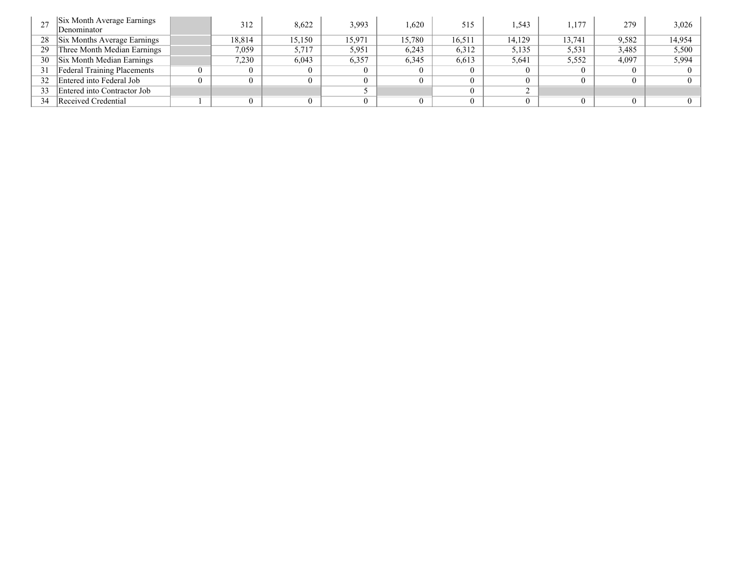|    | Six Month Average Earnings<br>Denominator | 312    | 8,622  | 3,993  | 1.620  | 515    | .543   | 1,177  | 279   | 3,026  |
|----|-------------------------------------------|--------|--------|--------|--------|--------|--------|--------|-------|--------|
| 28 | Six Months Average Earnings               | 18,814 | 15.150 | 15,971 | 15.780 | 16,511 | 14,129 | 13,741 | 9,582 | 14,954 |
| 29 | Three Month Median Earnings               | 7,059  | 5,717  | 5,951  | 6,243  | 6,312  | 5,135  | 5,531  | 3,485 | 5,500  |
| 30 | Six Month Median Earnings                 | 7.230  | 6,043  | 6,357  | 6.345  | 6,613  | 5.641  | 5,552  | 4,097 | 5,994  |
| 31 | <b>Federal Training Placements</b>        |        |        |        |        |        |        |        |       |        |
| 32 | Entered into Federal Job                  |        |        |        |        |        |        |        |       |        |
| 33 | Entered into Contractor Job               |        |        |        |        |        |        |        |       |        |
| 34 | Received Credential                       |        |        |        |        |        |        |        |       |        |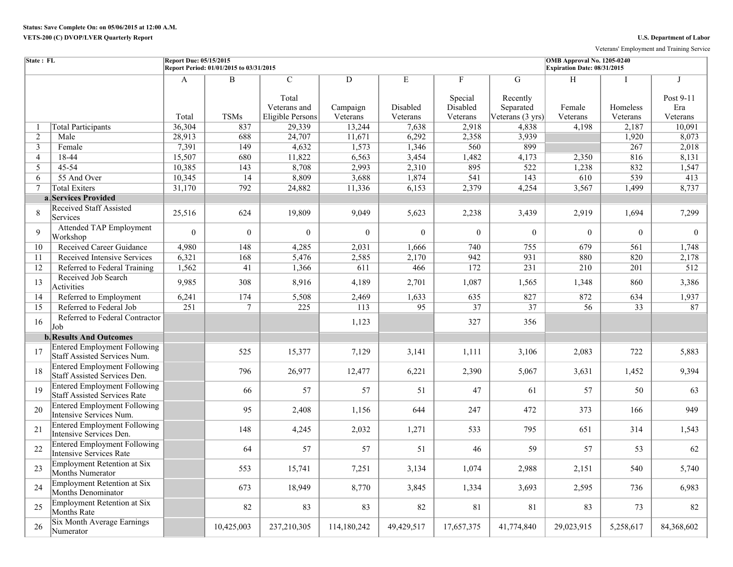Veterans' Employment and Training Service

| State: FL      |                                                                            | Report Due: 05/15/2015<br>Report Period: 01/01/2015 to 03/31/2015 |                            |                                                             |                           |                           |                                      |                                                | OMB Approval No. 1205-0240<br>Expiration Date: 08/31/2015 |                      |                                             |  |
|----------------|----------------------------------------------------------------------------|-------------------------------------------------------------------|----------------------------|-------------------------------------------------------------|---------------------------|---------------------------|--------------------------------------|------------------------------------------------|-----------------------------------------------------------|----------------------|---------------------------------------------|--|
|                |                                                                            | A<br>Total                                                        | $\mathbf B$<br><b>TSMs</b> | $\overline{C}$<br>Total<br>Veterans and<br>Eligible Persons | D<br>Campaign<br>Veterans | E<br>Disabled<br>Veterans | F<br>Special<br>Disabled<br>Veterans | G<br>Recently<br>Separated<br>Veterans (3 yrs) | H<br>Female<br>Veterans                                   | Homeless<br>Veterans | $\mathbf I$<br>Post 9-11<br>Era<br>Veterans |  |
| -1             | <b>Total Participants</b>                                                  | 36,304                                                            | 837                        | 29,339                                                      | 13,244                    | 7,638                     | 2,918                                | 4,838                                          | 4,198                                                     | 2,187                | 10,091                                      |  |
| 2              | Male                                                                       | 28,913                                                            | 688                        | 24,707                                                      | 11,671                    | 6,292                     | 2,358                                | 3,939                                          |                                                           | 1,920                | 8,073                                       |  |
| 3              | Female                                                                     | 7,391                                                             | 149                        | 4,632                                                       | 1,573                     | 1,346                     | 560                                  | 899                                            |                                                           | 267                  | 2,018                                       |  |
| $\overline{4}$ | 18-44                                                                      | 15,507                                                            | 680                        | 11,822                                                      | 6,563                     | 3,454                     | 1,482                                | 4,173                                          | 2,350                                                     | 816                  | 8,131                                       |  |
| 5              | 45-54                                                                      | 10,385                                                            | 143                        | 8,708                                                       | 2,993                     | 2,310                     | 895                                  | 522                                            | 1,238                                                     | 832                  | 1,547                                       |  |
| 6              | 55 And Over                                                                | 10,345                                                            | $\overline{14}$            | 8,809                                                       | 3,688                     | 1,874                     | 541                                  | 143                                            | 610                                                       | 539                  | 413                                         |  |
| $\overline{7}$ | <b>Total Exiters</b>                                                       | 31,170                                                            | 792                        | 24,882                                                      | 11,336                    | 6,153                     | 2,379                                | 4,254                                          | 3,567                                                     | 1,499                | 8,737                                       |  |
|                | a Services Provided                                                        |                                                                   |                            |                                                             |                           |                           |                                      |                                                |                                                           |                      |                                             |  |
| 8              | <b>Received Staff Assisted</b><br>Services                                 | 25,516                                                            | 624                        | 19,809                                                      | 9,049                     | 5,623                     | 2,238                                | 3,439                                          | 2,919                                                     | 1,694                | 7,299                                       |  |
| 9              | <b>Attended TAP Employment</b><br>Workshop                                 | $\theta$                                                          | $\overline{0}$             | $\Omega$                                                    | $\theta$                  | $\Omega$                  | $\theta$                             | $\theta$                                       | $\Omega$                                                  | $\theta$             | $\theta$                                    |  |
| 10             | Received Career Guidance                                                   | 4,980                                                             | 148                        | 4,285                                                       | 2,031                     | 1,666                     | 740                                  | 755                                            | 679                                                       | 561                  | 1.748                                       |  |
| 11             | Received Intensive Services                                                | 6,321                                                             | 168                        | 5,476                                                       | 2,585                     | 2,170                     | 942                                  | 931                                            | 880                                                       | 820                  | 2,178                                       |  |
| 12             | Referred to Federal Training                                               | 1,562                                                             | 41                         | 1,366                                                       | 611                       | 466                       | 172                                  | 231                                            | 210                                                       | 201                  | 512                                         |  |
| 13             | Received Job Search<br>Activities                                          | 9,985                                                             | 308                        | 8,916                                                       | 4,189                     | 2,701                     | 1,087                                | 1,565                                          | 1,348                                                     | 860                  | 3,386                                       |  |
| 14             | Referred to Employment                                                     | 6,241                                                             | 174                        | 5,508                                                       | 2,469                     | 1,633                     | 635                                  | 827                                            | 872                                                       | 634                  | 1,937                                       |  |
| 15             | Referred to Federal Job                                                    | 251                                                               | $7\phantom{.0}$            | $\overline{225}$                                            | $\overline{113}$          | 95                        | 37                                   | $\overline{37}$                                | 56                                                        | 33                   | 87                                          |  |
| 16             | Referred to Federal Contractor<br>Job                                      |                                                                   |                            |                                                             | 1,123                     |                           | 327                                  | 356                                            |                                                           |                      |                                             |  |
|                | <b>b.</b> Results And Outcomes                                             |                                                                   |                            |                                                             |                           |                           |                                      |                                                |                                                           |                      |                                             |  |
| 17             | <b>Entered Employment Following</b><br>Staff Assisted Services Num.        |                                                                   | 525                        | 15,377                                                      | 7,129                     | 3,141                     | 1,111                                | 3,106                                          | 2,083                                                     | 722                  | 5,883                                       |  |
| 18             | <b>Entered Employment Following</b><br>Staff Assisted Services Den.        |                                                                   | 796                        | 26,977                                                      | 12,477                    | 6,221                     | 2,390                                | 5,067                                          | 3,631                                                     | 1,452                | 9,394                                       |  |
| 19             | <b>Entered Employment Following</b><br><b>Staff Assisted Services Rate</b> |                                                                   | 66                         | 57                                                          | 57                        | 51                        | 47                                   | 61                                             | 57                                                        | 50                   | 63                                          |  |
| 20             | <b>Entered Employment Following</b><br>Intensive Services Num.             |                                                                   | 95                         | 2,408                                                       | 1,156                     | 644                       | 247                                  | 472                                            | 373                                                       | 166                  | 949                                         |  |
| 21             | <b>Entered Employment Following</b><br>Intensive Services Den.             |                                                                   | 148                        | 4,245                                                       | 2,032                     | 1,271                     | 533                                  | 795                                            | 651                                                       | 314                  | 1,543                                       |  |
| 22             | <b>Entered Employment Following</b><br>Intensive Services Rate             |                                                                   | 64                         | 57                                                          | 57                        | 51                        | 46                                   | 59                                             | 57                                                        | 53                   | 62                                          |  |
| 23             | <b>Employment Retention at Six</b><br>Months Numerator                     |                                                                   | 553                        | 15,741                                                      | 7,251                     | 3,134                     | 1.074                                | 2,988                                          | 2,151                                                     | 540                  | 5,740                                       |  |
| 24             | Employment Retention at Six<br>Months Denominator                          |                                                                   | 673                        | 18,949                                                      | 8,770                     | 3,845                     | 1,334                                | 3,693                                          | 2,595                                                     | 736                  | 6,983                                       |  |
| 25             | <b>Employment Retention at Six</b><br>Months Rate                          |                                                                   | 82                         | 83                                                          | 83                        | 82                        | 81                                   | 81                                             | 83                                                        | 73                   | 82                                          |  |
| 26             | Six Month Average Earnings<br>Numerator                                    |                                                                   | 10,425,003                 | 237,210,305                                                 | 114,180,242               | 49,429,517                | 17,657,375                           | 41,774,840                                     | 29,023,915                                                | 5,258,617            | 84,368,602                                  |  |